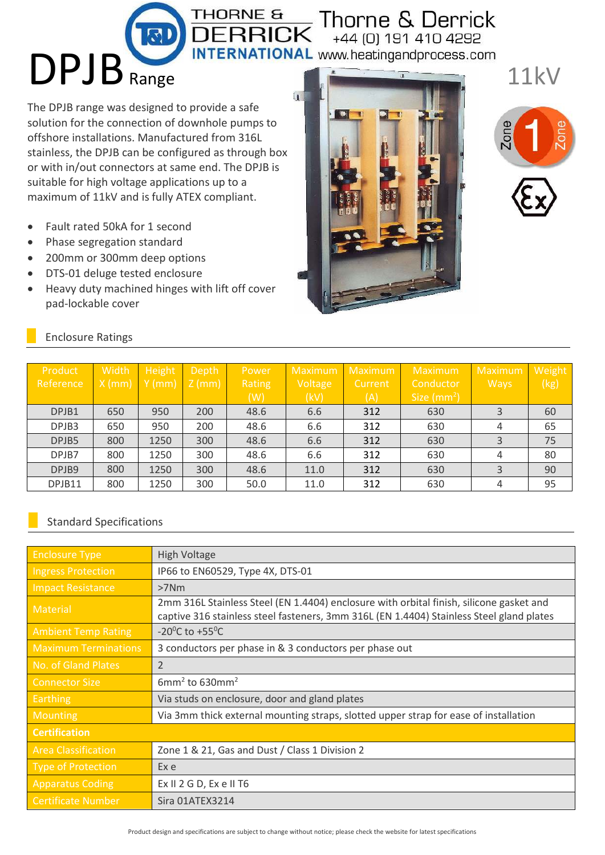## THORNE & Thorne & Derrick<br>DERRICK +44 (0) 191 410 4292 +44 (0) 191 410 4292

**INTERNATIONAL** www.heatingandprocess.com

The DPJB range was designed to provide a safe solution for the connection of downhole pumps to offshore installations. Manufactured from 316L stainless, the DPJB can be configured as through box or with in/out connectors at same end. The DPJB is suitable for high voltage applications up to a maximum of 11kV and is fully ATEX compliant.

- Fault rated 50kA for 1 second
- Phase segregation standard

DPJB Range

- 200mm or 300mm deep options
- DTS-01 deluge tested enclosure
- Heavy duty machined hinges with lift off cover pad-lockable cover



11kV



| <b>Enclosure Ratings</b> |  |
|--------------------------|--|
|--------------------------|--|

| Product<br>Reference | Width<br>$X$ (mm) | Height<br>$Y$ (mm) | <b>Depth</b><br>$\sqrt{Z \text{ (mm)}}$ | Power<br>Rating<br>(W) | Maximum<br>Voltage<br>(kV) | <b>Maximum</b><br>Current<br>(A) | Maximum<br>Conductor<br>Size $(mm2)$ | Maximum<br><b>Ways</b> | Weight<br>(kg) |
|----------------------|-------------------|--------------------|-----------------------------------------|------------------------|----------------------------|----------------------------------|--------------------------------------|------------------------|----------------|
| DPJB1                | 650               | 950                | 200                                     | 48.6                   | 6.6                        | 312                              | 630                                  | 3                      | 60             |
| DPJB3                | 650               | 950                | 200                                     | 48.6                   | 6.6                        | 312                              | 630                                  | 4                      | 65             |
| DPJB5                | 800               | 1250               | 300                                     | 48.6                   | 6.6                        | 312                              | 630                                  | 3                      | 75             |
| DPJB7                | 800               | 1250               | 300                                     | 48.6                   | 6.6                        | 312                              | 630                                  | 4                      | 80             |
| DPJB9                | 800               | 1250               | 300                                     | 48.6                   | 11.0                       | 312                              | 630                                  | 3                      | 90             |
| DPJB11               | 800               | 1250               | 300                                     | 50.0                   | 11.0                       | 312                              | 630                                  | 4                      | 95             |

## Standard Specifications

| <b>Enclosure Type</b>       | High Voltage                                                                                                                                                                        |
|-----------------------------|-------------------------------------------------------------------------------------------------------------------------------------------------------------------------------------|
| <b>Ingress Protection</b>   | IP66 to EN60529, Type 4X, DTS-01                                                                                                                                                    |
| <b>Impact Resistance</b>    | $>7$ Nm                                                                                                                                                                             |
| <b>Material</b>             | 2mm 316L Stainless Steel (EN 1.4404) enclosure with orbital finish, silicone gasket and<br>captive 316 stainless steel fasteners, 3mm 316L (EN 1.4404) Stainless Steel gland plates |
| <b>Ambient Temp Rating</b>  | -20 <sup>o</sup> C to +55 <sup>o</sup> C                                                                                                                                            |
| <b>Maximum Terminations</b> | 3 conductors per phase in & 3 conductors per phase out                                                                                                                              |
| No. of Gland Plates         | $\overline{2}$                                                                                                                                                                      |
| <b>Connector Size</b>       | $6mm2$ to 630mm <sup>2</sup>                                                                                                                                                        |
| <b>Earthing</b>             | Via studs on enclosure, door and gland plates                                                                                                                                       |
| <b>Mounting</b>             | Via 3mm thick external mounting straps, slotted upper strap for ease of installation                                                                                                |
| <b>Certification</b>        |                                                                                                                                                                                     |
| <b>Area Classification</b>  | Zone 1 & 21, Gas and Dust / Class 1 Division 2                                                                                                                                      |
| <b>Type of Protection</b>   | Ex e                                                                                                                                                                                |
| <b>Apparatus Coding</b>     | Ex $II$ 2 G D, Ex e $II$ T6                                                                                                                                                         |
| <b>Certificate Number</b>   | Sira 01ATEX3214                                                                                                                                                                     |